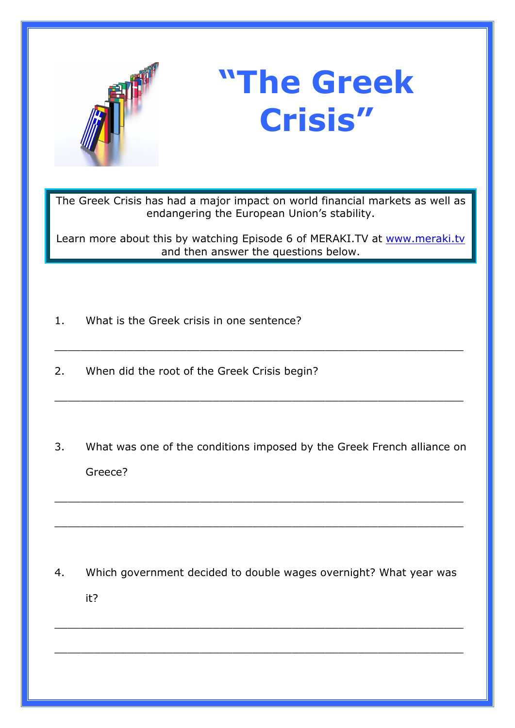

## **"The Greek Crisis"**

The Greek Crisis has had a major impact on world financial markets as well as endangering the European Union's stability.

Learn more about this by watching Episode 6 of MERAKI.TV at www.meraki.tv and then answer the questions below.

\_\_\_\_\_\_\_\_\_\_\_\_\_\_\_\_\_\_\_\_\_\_\_\_\_\_\_\_\_\_\_\_\_\_\_\_\_\_\_\_\_\_\_\_\_\_\_\_\_\_\_\_\_\_\_\_\_\_\_\_\_\_

\_\_\_\_\_\_\_\_\_\_\_\_\_\_\_\_\_\_\_\_\_\_\_\_\_\_\_\_\_\_\_\_\_\_\_\_\_\_\_\_\_\_\_\_\_\_\_\_\_\_\_\_\_\_\_\_\_\_\_\_\_\_

- 1. What is the Greek crisis in one sentence?
- 2. When did the root of the Greek Crisis begin?
- 3. What was one of the conditions imposed by the Greek French alliance on Greece?

\_\_\_\_\_\_\_\_\_\_\_\_\_\_\_\_\_\_\_\_\_\_\_\_\_\_\_\_\_\_\_\_\_\_\_\_\_\_\_\_\_\_\_\_\_\_\_\_\_\_\_\_\_\_\_\_\_\_\_\_\_\_

\_\_\_\_\_\_\_\_\_\_\_\_\_\_\_\_\_\_\_\_\_\_\_\_\_\_\_\_\_\_\_\_\_\_\_\_\_\_\_\_\_\_\_\_\_\_\_\_\_\_\_\_\_\_\_\_\_\_\_\_\_\_

4. Which government decided to double wages overnight? What year was it?

\_\_\_\_\_\_\_\_\_\_\_\_\_\_\_\_\_\_\_\_\_\_\_\_\_\_\_\_\_\_\_\_\_\_\_\_\_\_\_\_\_\_\_\_\_\_\_\_\_\_\_\_\_\_\_\_\_\_\_\_\_\_

\_\_\_\_\_\_\_\_\_\_\_\_\_\_\_\_\_\_\_\_\_\_\_\_\_\_\_\_\_\_\_\_\_\_\_\_\_\_\_\_\_\_\_\_\_\_\_\_\_\_\_\_\_\_\_\_\_\_\_\_\_\_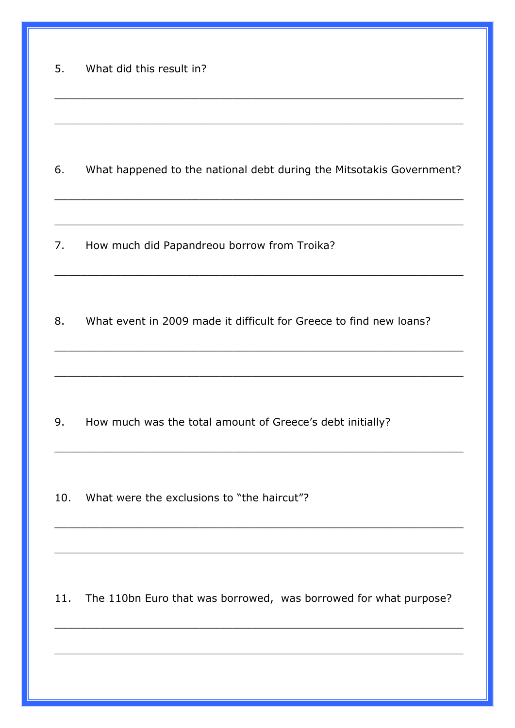| 5. |  |  |  | What did this result in? |  |
|----|--|--|--|--------------------------|--|
|----|--|--|--|--------------------------|--|

6. What happened to the national debt during the Mitsotakis Government?

How much did Papandreou borrow from Troika?  $7.$ 

What event in 2009 made it difficult for Greece to find new loans? 8.

How much was the total amount of Greece's debt initially? 9.

10. What were the exclusions to "the haircut"?

The 110bn Euro that was borrowed, was borrowed for what purpose? 11.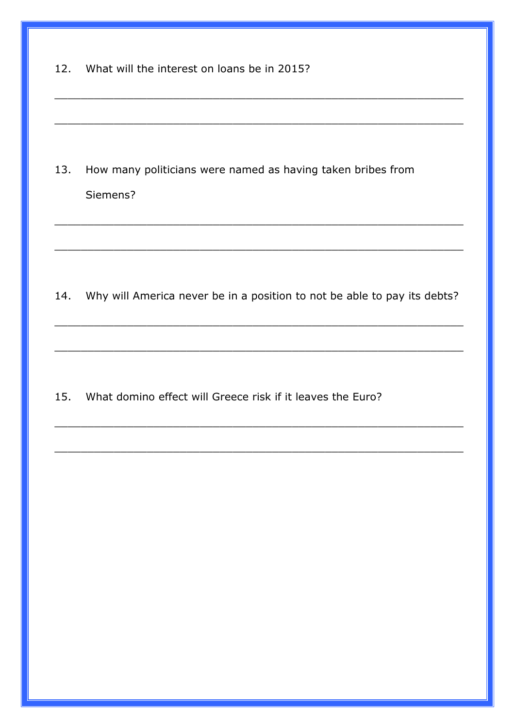12. What will the interest on loans be in 2015?

13. How many politicians were named as having taken bribes from Siemens?

14. Why will America never be in a position to not be able to pay its debts?

15. What domino effect will Greece risk if it leaves the Euro?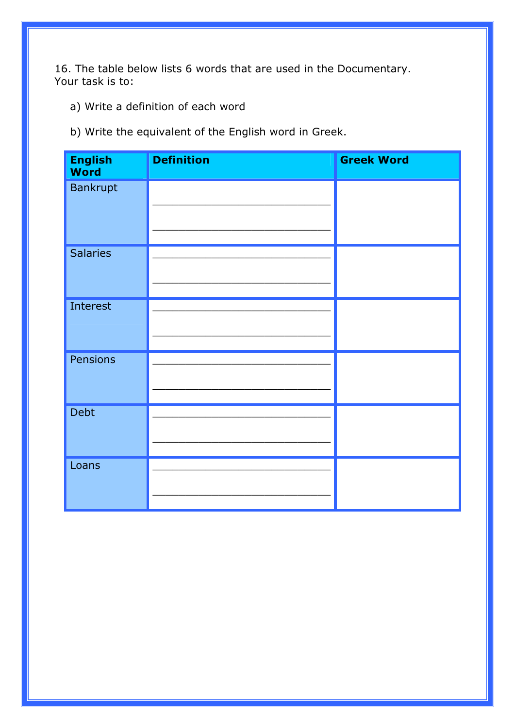16. The table below lists 6 words that are used in the Documentary. Your task is to:

- a) Write a definition of each word
- b) Write the equivalent of the English word in Greek.

| <b>English</b><br><b>Word</b> | <b>Definition</b> | <b>Greek Word</b> |
|-------------------------------|-------------------|-------------------|
| Bankrupt                      |                   |                   |
| <b>Salaries</b>               |                   |                   |
| Interest                      |                   |                   |
| Pensions                      |                   |                   |
| Debt                          |                   |                   |
| Loans                         |                   |                   |